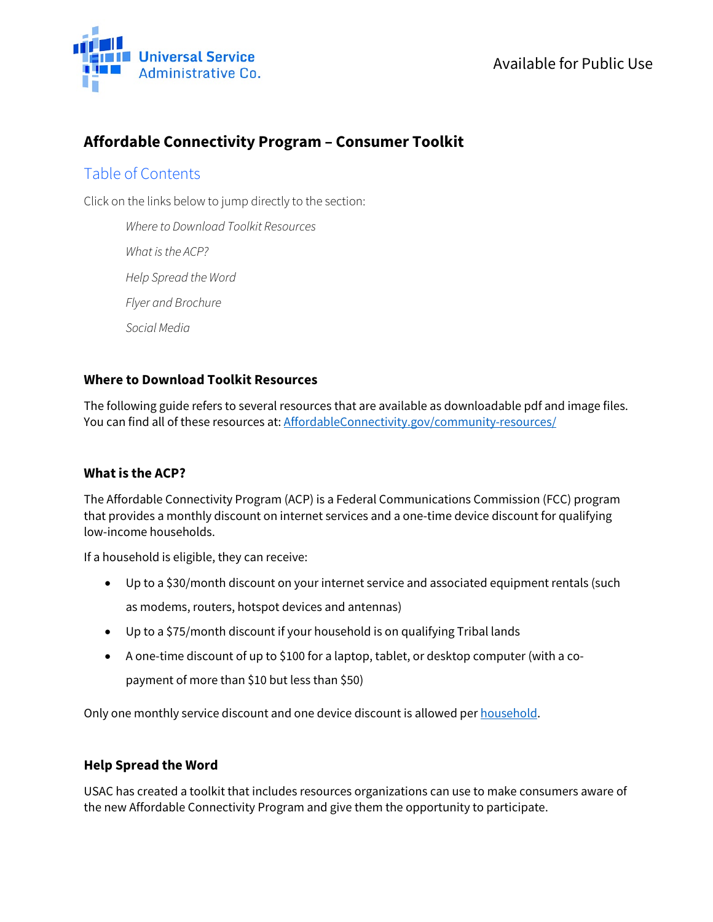

# **Affordable Connectivity Program – Consumer Toolkit**

## Table of Contents

Click on the links below to jump directly to the section:

*[Where to Download Toolkit Resources](#page-0-0)  [What is the ACP?](#page-0-1) [Help Spread the Word](#page-0-2) Flyer [and Brochure](#page-1-0) [Social Media](#page-1-1)*

### <span id="page-0-0"></span>**Where to Download Toolkit Resources**

The following guide refers to several resources that are available as downloadable pdf and image files. You can find all of these resources at[: AffordableConnectivity.gov/community-resources/](https://affordableconnectivity.gov/community-resources/)

#### <span id="page-0-1"></span>**What is the ACP?**

The Affordable Connectivity Program (ACP) is a Federal Communications Commission (FCC) program that provides a monthly discount on internet services and a one-time device discount for qualifying low-income households.

If a household is eligible, they can receive:

- Up to a \$30/month discount on your internet service and associated equipment rentals (such as modems, routers, hotspot devices and antennas)
- Up to a \$75/month discount if your household is on qualifying Tribal lands
- A one-time discount of up to \$100 for a laptop, tablet, or desktop computer (with a copayment of more than \$10 but less than \$50)

Only one monthly service discount and one device discount is allowed pe[r household.](https://affordableconnectivity.gov/do-i-qualify/what-is-a-household/)

#### <span id="page-0-2"></span>**Help Spread the Word**

USAC has created a toolkit that includes resources organizations can use to make consumers aware of the new Affordable Connectivity Program and give them the opportunity to participate.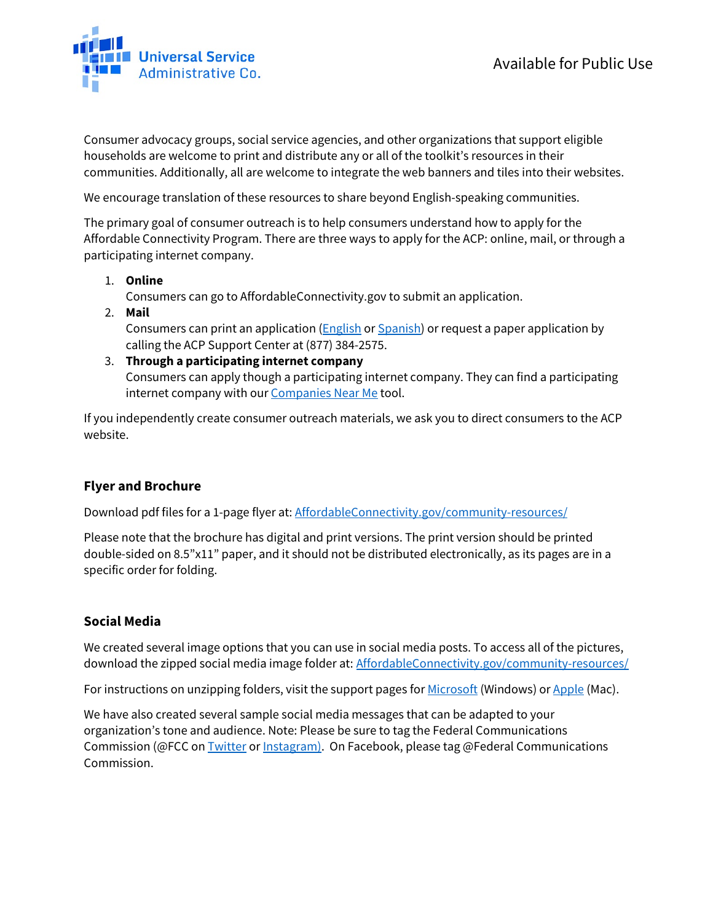

Consumer advocacy groups, social service agencies, and other organizations that support eligible households are welcome to print and distribute any or all of the toolkit's resources in their communities. Additionally, all are welcome to integrate the web banners and tiles into their websites.

We encourage translation of these resources to share beyond English-speaking communities.

The primary goal of consumer outreach is to help consumers understand how to apply for the Affordable Connectivity Program. There are three ways to apply for the ACP: online, mail, or through a participating internet company.

1. **Online**

Consumers can go to AffordableConnectivity.gov to submit an application.

2. **Mail** 

Consumers can print an application [\(English](https://affordableconnectivity.gov/wp-content/uploads/ACP-Application-Form-English.pdf) o[r Spanish\)](https://affordableconnectivity.gov/wp-content/uploads/ACP-Application-Form-Spanish.pdf) or request a paper application by calling the ACP Support Center at (877) 384-2575.

#### 3. **Through a participating internet company**

Consumers can apply though a participating internet company. They can find a participating internet company with ou[r Companies Near Me](https://affordableconnectivity.gov/companies-near-me/) tool.

If you independently create consumer outreach materials, we ask you to direct consumers to the ACP website.

#### <span id="page-1-0"></span>**Flyer and Brochure**

Download pdf files for a 1-page flyer at: [AffordableConnectivity.gov/community-resources/](https://affordableconnectivity.gov/community-resources/)

Please note that the brochure has digital and print versions. The print version should be printed double-sided on 8.5"x11" paper, and it should not be distributed electronically, as its pages are in a specific order for folding.

#### <span id="page-1-1"></span>**Social Media**

We created several image options that you can use in social media posts. To access all of the pictures, download the zipped social media image folder at: [AffordableConnectivity.gov/community-resources/](https://affordableconnectivity.gov/community-resources/)

For instructions on unzipping folders, visit the support pages fo[r Microsoft](https://support.microsoft.com/en-us/windows/zip-and-unzip-files-8d28fa72-f2f9-712f-67df-f80cf89fd4e5#:%7E:text=To%20unzip%20a%20single%20file,and%20then%20follow%20the%20instructions.) (Windows) o[r Apple](https://support.apple.com/guide/mac-help/zip-and-unzip-files-and-folders-on-mac-mchlp2528/mac) (Mac).

We have also created several sample social media messages that can be adapted to your organization's tone and audience. Note: Please be sure to tag the Federal Communications Commission (@FCC o[n Twitter](https://twitter.com/FCC?ref_src=twsrc%5Egoogle%7Ctwcamp%5Eserp%7Ctwgr%5Eauthor) o[r Instagram\)](https://www.instagram.com/fcc/?hl=en). On [Facebook,](https://www.facebook.com/FCC/) please tag @Federal Communications Commission.